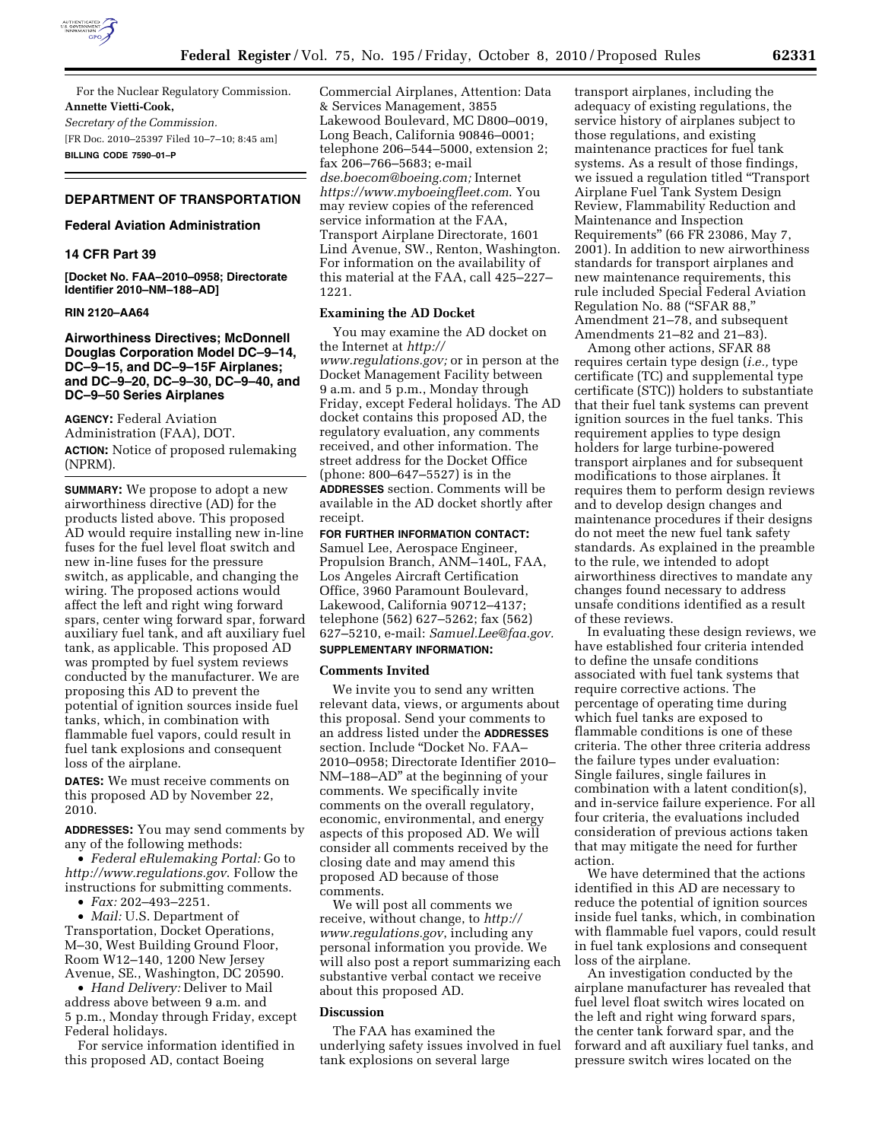

For the Nuclear Regulatory Commission. **Annette Vietti-Cook,**  *Secretary of the Commission.*  [FR Doc. 2010–25397 Filed 10–7–10; 8:45 am] **BILLING CODE 7590–01–P** 

# **DEPARTMENT OF TRANSPORTATION**

### **Federal Aviation Administration**

## **14 CFR Part 39**

**[Docket No. FAA–2010–0958; Directorate Identifier 2010–NM–188–AD]** 

## **RIN 2120–AA64**

## **Airworthiness Directives; McDonnell Douglas Corporation Model DC–9–14, DC–9–15, and DC–9–15F Airplanes; and DC–9–20, DC–9–30, DC–9–40, and DC–9–50 Series Airplanes**

**AGENCY:** Federal Aviation Administration (FAA), DOT. **ACTION:** Notice of proposed rulemaking (NPRM).

**SUMMARY:** We propose to adopt a new airworthiness directive (AD) for the products listed above. This proposed AD would require installing new in-line fuses for the fuel level float switch and new in-line fuses for the pressure switch, as applicable, and changing the wiring. The proposed actions would affect the left and right wing forward spars, center wing forward spar, forward auxiliary fuel tank, and aft auxiliary fuel tank, as applicable. This proposed AD was prompted by fuel system reviews conducted by the manufacturer. We are proposing this AD to prevent the potential of ignition sources inside fuel tanks, which, in combination with flammable fuel vapors, could result in fuel tank explosions and consequent loss of the airplane.

**DATES:** We must receive comments on this proposed AD by November 22, 2010.

**ADDRESSES:** You may send comments by any of the following methods:

• *Federal eRulemaking Portal:* Go to *<http://www.regulations.gov>*. Follow the instructions for submitting comments.

• *Fax:* 202–493–2251.

• *Mail:* U.S. Department of Transportation, Docket Operations, M–30, West Building Ground Floor, Room W12–140, 1200 New Jersey Avenue, SE., Washington, DC 20590.

• *Hand Delivery:* Deliver to Mail address above between 9 a.m. and 5 p.m., Monday through Friday, except Federal holidays.

For service information identified in this proposed AD, contact Boeing

Commercial Airplanes, Attention: Data & Services Management, 3855 Lakewood Boulevard, MC D800–0019, Long Beach, California 90846–0001; telephone 206–544–5000, extension 2; fax 206–766–5683; e-mail *[dse.boecom@boeing.com;](mailto:dse.boecom@boeing.com)* Internet *<https://www.myboeingfleet.com>*. You may review copies of the referenced service information at the FAA, Transport Airplane Directorate, 1601 Lind Avenue, SW., Renton, Washington. For information on the availability of this material at the FAA, call 425–227– 1221.

## **Examining the AD Docket**

You may examine the AD docket on the Internet at *[http://](http://www.regulations.gov)  [www.regulations.gov;](http://www.regulations.gov)* or in person at the Docket Management Facility between 9 a.m. and 5 p.m., Monday through Friday, except Federal holidays. The AD docket contains this proposed AD, the regulatory evaluation, any comments received, and other information. The street address for the Docket Office (phone: 800–647–5527) is in the **ADDRESSES** section. Comments will be available in the AD docket shortly after receipt.

## **FOR FURTHER INFORMATION CONTACT:**

Samuel Lee, Aerospace Engineer, Propulsion Branch, ANM–140L, FAA, Los Angeles Aircraft Certification Office, 3960 Paramount Boulevard, Lakewood, California 90712–4137; telephone (562) 627–5262; fax (562) 627–5210, e-mail: *[Samuel.Lee@faa.gov.](mailto:Samuel.Lee@faa.gov)*  **SUPPLEMENTARY INFORMATION:** 

# **Comments Invited**

We invite you to send any written relevant data, views, or arguments about this proposal. Send your comments to an address listed under the **ADDRESSES** section. Include "Docket No. FAA-2010–0958; Directorate Identifier 2010– NM–188–AD'' at the beginning of your comments. We specifically invite comments on the overall regulatory, economic, environmental, and energy aspects of this proposed AD. We will consider all comments received by the closing date and may amend this proposed AD because of those comments.

We will post all comments we receive, without change, to *[http://](http://www.regulations.gov) [www.regulations.gov](http://www.regulations.gov)*, including any personal information you provide. We will also post a report summarizing each substantive verbal contact we receive about this proposed AD.

## **Discussion**

The FAA has examined the underlying safety issues involved in fuel tank explosions on several large

transport airplanes, including the adequacy of existing regulations, the service history of airplanes subject to those regulations, and existing maintenance practices for fuel tank systems. As a result of those findings, we issued a regulation titled ''Transport Airplane Fuel Tank System Design Review, Flammability Reduction and Maintenance and Inspection Requirements'' (66 FR 23086, May 7, 2001). In addition to new airworthiness standards for transport airplanes and new maintenance requirements, this rule included Special Federal Aviation Regulation No. 88 (''SFAR 88,'' Amendment 21–78, and subsequent Amendments 21–82 and 21–83).

Among other actions, SFAR 88 requires certain type design (*i.e.,* type certificate (TC) and supplemental type certificate (STC)) holders to substantiate that their fuel tank systems can prevent ignition sources in the fuel tanks. This requirement applies to type design holders for large turbine-powered transport airplanes and for subsequent modifications to those airplanes. It requires them to perform design reviews and to develop design changes and maintenance procedures if their designs do not meet the new fuel tank safety standards. As explained in the preamble to the rule, we intended to adopt airworthiness directives to mandate any changes found necessary to address unsafe conditions identified as a result of these reviews.

In evaluating these design reviews, we have established four criteria intended to define the unsafe conditions associated with fuel tank systems that require corrective actions. The percentage of operating time during which fuel tanks are exposed to flammable conditions is one of these criteria. The other three criteria address the failure types under evaluation: Single failures, single failures in combination with a latent condition(s), and in-service failure experience. For all four criteria, the evaluations included consideration of previous actions taken that may mitigate the need for further action.

We have determined that the actions identified in this AD are necessary to reduce the potential of ignition sources inside fuel tanks, which, in combination with flammable fuel vapors, could result in fuel tank explosions and consequent loss of the airplane.

An investigation conducted by the airplane manufacturer has revealed that fuel level float switch wires located on the left and right wing forward spars, the center tank forward spar, and the forward and aft auxiliary fuel tanks, and pressure switch wires located on the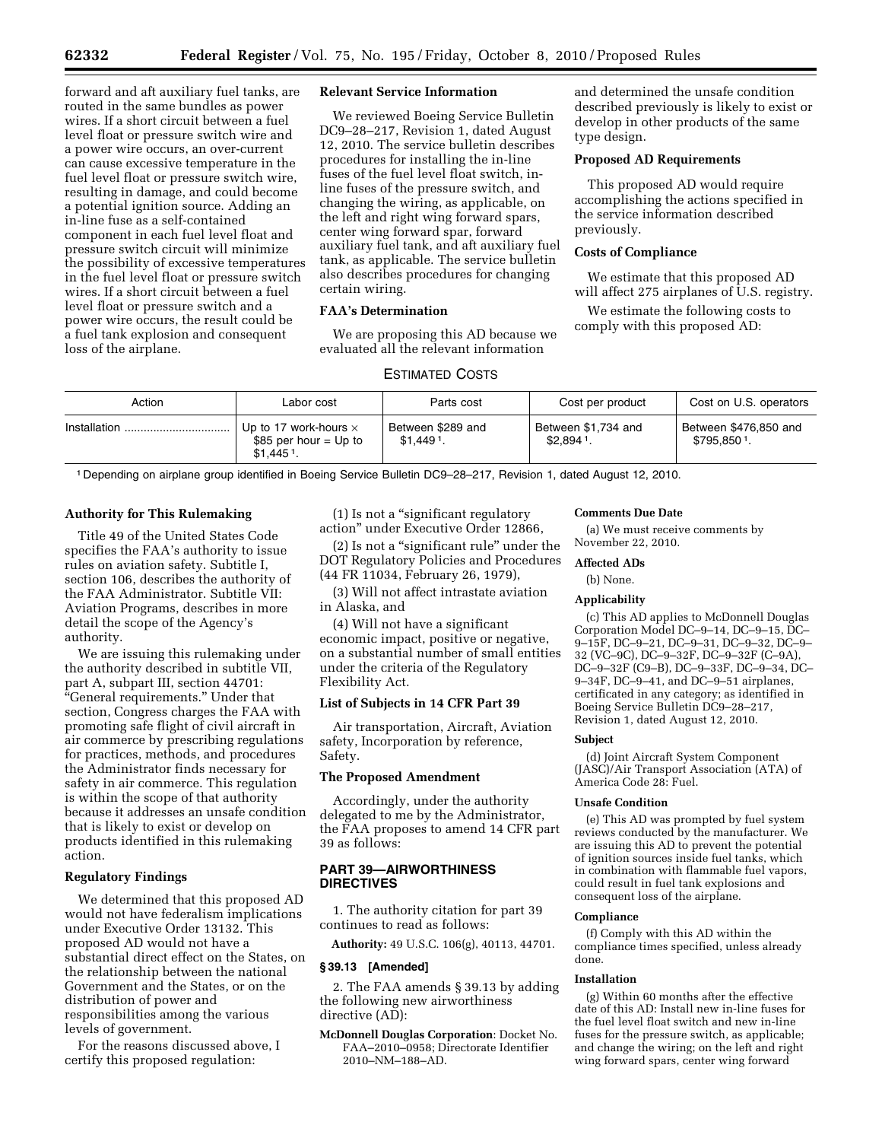forward and aft auxiliary fuel tanks, are routed in the same bundles as power wires. If a short circuit between a fuel level float or pressure switch wire and a power wire occurs, an over-current can cause excessive temperature in the fuel level float or pressure switch wire, resulting in damage, and could become a potential ignition source. Adding an in-line fuse as a self-contained component in each fuel level float and pressure switch circuit will minimize the possibility of excessive temperatures in the fuel level float or pressure switch wires. If a short circuit between a fuel level float or pressure switch and a power wire occurs, the result could be a fuel tank explosion and consequent loss of the airplane.

### **Relevant Service Information**

We reviewed Boeing Service Bulletin DC9–28–217, Revision 1, dated August 12, 2010. The service bulletin describes procedures for installing the in-line fuses of the fuel level float switch, inline fuses of the pressure switch, and changing the wiring, as applicable, on the left and right wing forward spars, center wing forward spar, forward auxiliary fuel tank, and aft auxiliary fuel tank, as applicable. The service bulletin also describes procedures for changing certain wiring.

## **FAA's Determination**

We are proposing this AD because we evaluated all the relevant information

#### ESTIMATED COSTS

and determined the unsafe condition described previously is likely to exist or develop in other products of the same type design.

## **Proposed AD Requirements**

This proposed AD would require accomplishing the actions specified in the service information described previously.

## **Costs of Compliance**

We estimate that this proposed AD will affect 275 airplanes of U.S. registry.

We estimate the following costs to comply with this proposed AD:

| Action | Labor cost                                                                      | Parts cost                       | Cost per product                   | Cost on U.S. operators                          |
|--------|---------------------------------------------------------------------------------|----------------------------------|------------------------------------|-------------------------------------------------|
|        | Up to 17 work-hours $\times$<br>\$85 per hour $=$ Up to<br>\$1.445 <sup>1</sup> | Between \$289 and<br>$$1.4491$ . | Between \$1,734 and<br>$$2.8941$ . | Between \$476,850 and<br>\$795.850 <sup>1</sup> |

1 Depending on airplane group identified in Boeing Service Bulletin DC9–28–217, Revision 1, dated August 12, 2010.

## **Authority for This Rulemaking**

Title 49 of the United States Code specifies the FAA's authority to issue rules on aviation safety. Subtitle I, section 106, describes the authority of the FAA Administrator. Subtitle VII: Aviation Programs, describes in more detail the scope of the Agency's authority.

We are issuing this rulemaking under the authority described in subtitle VII, part A, subpart III, section 44701: ''General requirements.'' Under that section, Congress charges the FAA with promoting safe flight of civil aircraft in air commerce by prescribing regulations for practices, methods, and procedures the Administrator finds necessary for safety in air commerce. This regulation is within the scope of that authority because it addresses an unsafe condition that is likely to exist or develop on products identified in this rulemaking action.

## **Regulatory Findings**

We determined that this proposed AD would not have federalism implications under Executive Order 13132. This proposed AD would not have a substantial direct effect on the States, on the relationship between the national Government and the States, or on the distribution of power and responsibilities among the various levels of government.

For the reasons discussed above, I certify this proposed regulation:

(1) Is not a ''significant regulatory action'' under Executive Order 12866,

(2) Is not a ''significant rule'' under the DOT Regulatory Policies and Procedures (44 FR 11034, February 26, 1979),

(3) Will not affect intrastate aviation in Alaska, and

(4) Will not have a significant economic impact, positive or negative, on a substantial number of small entities under the criteria of the Regulatory Flexibility Act.

### **List of Subjects in 14 CFR Part 39**

Air transportation, Aircraft, Aviation safety, Incorporation by reference, Safety.

## **The Proposed Amendment**

Accordingly, under the authority delegated to me by the Administrator, the FAA proposes to amend 14 CFR part 39 as follows:

## **PART 39—AIRWORTHINESS DIRECTIVES**

1. The authority citation for part 39 continues to read as follows:

**Authority:** 49 U.S.C. 106(g), 40113, 44701.

#### **§ 39.13 [Amended]**

2. The FAA amends § 39.13 by adding the following new airworthiness directive (AD):

**McDonnell Douglas Corporation**: Docket No. FAA–2010–0958; Directorate Identifier 2010–NM–188–AD.

### **Comments Due Date**

(a) We must receive comments by November 22, 2010.

### **Affected ADs**

(b) None.

### **Applicability**

(c) This AD applies to McDonnell Douglas Corporation Model DC–9–14, DC–9–15, DC– 9–15F, DC–9–21, DC–9–31, DC–9–32, DC–9– 32 (VC–9C), DC–9–32F, DC–9–32F (C–9A), DC–9–32F (C9–B), DC–9–33F, DC–9–34, DC– 9–34F, DC–9–41, and DC–9–51 airplanes, certificated in any category; as identified in Boeing Service Bulletin DC9–28–217, Revision 1, dated August 12, 2010.

#### **Subject**

(d) Joint Aircraft System Component (JASC)/Air Transport Association (ATA) of America Code 28: Fuel.

## **Unsafe Condition**

(e) This AD was prompted by fuel system reviews conducted by the manufacturer. We are issuing this AD to prevent the potential of ignition sources inside fuel tanks, which in combination with flammable fuel vapors, could result in fuel tank explosions and consequent loss of the airplane.

### **Compliance**

(f) Comply with this AD within the compliance times specified, unless already done.

### **Installation**

(g) Within 60 months after the effective date of this AD: Install new in-line fuses for the fuel level float switch and new in-line fuses for the pressure switch, as applicable; and change the wiring; on the left and right wing forward spars, center wing forward